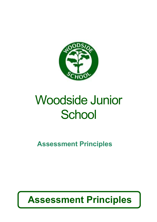

# Woodside Junior **School**

**Assessment Principles**

## **Assessment Principles**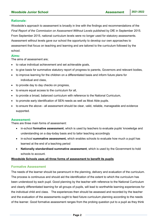#### **Rationale:**

Woodside's approach to assessment is broadly in line with the findings and recommendations of the *Final Report of the Commission on Assessment Without Levels* published by DfE in September 2015. From September 2015, national curriculum levels were no longer used for statutory assessments. Assessment without levels gave our school the opportunity to develop our own approaches to assessment that focus on teaching and learning and are tailored to the curriculum followed by the school.

#### **Aims:**

The aims of assessment are;

- to value individual achievement and set achievable goals,
- to give basis for summative statutory report of progress to parents, Governors and relevant bodies,
- to improve learning for the children on a differentiated basis and inform future plans for individual and class,
- to provide day to day checks on progress,
- to ensure equal access to the curriculum for all,
- to provide a broad, balanced curriculum with reference to the National Curriculum,
- to promote early identification of SEN needs as well as Most Able pupils.
- to ensure the above all assessment should be clear, valid, reliable, manageable and evidence supported.

#### **Assessment:**

There are three main forms of assessment:

- in-school **formative assessment**, which is used by teachers to evaluate pupils' knowledge and understanding on a day-today basis and to tailor teaching accordingly
- in-school **summative assessment,** which enables schools to evaluate how much a pupil has learned at the end of a teaching period
- **Nationally standardised summative assessment**, which is used by the Government to hold schools to account.

#### **Woodside Schools uses all three forms of assessment to benefit its pupils**

#### **Formative Assessment**

The needs of the learner should be paramount in the planning, delivery and evaluation of the curriculum. The process is continuous and should aid the identification of the extent to which the curriculum has been understood by each pupil. Good planning by the teacher with reference to the National Curriculum and clearly differentiated learning for all groups of pupils, will lead to worthwhile learning experiences for the individual child and class. The experiences then should be assessed and recorded by the teacher and the evaluation of the assessments ought to feed future curriculum planning according to the needs of the learner. Good formative assessment ranges from the probing question put to a pupil as they think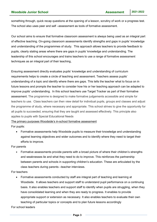something through, quick recap questions at the opening of a lesson, scrutiny of work or a progress test. The school also uses peer and self –assessment as tools of formative assessment.

Our school aims to ensure that formative classroom assessment is always being used as an integral part of effective teaching. On-going classroom assessments identify strengths and gaps in pupils' knowledge and understanding of the programmes of study. This approach allows teachers to provide feedback to pupils, clearly stating areas where there are gaps in pupils' knowledge and understanding. The leadership of this school encourages and trains teachers to use a range of formative assessment techniques as an integral part of their teaching,

Ensuring assessment directly evaluates pupils' knowledge and understanding of curriculum requirements helps to create a circle of teaching and assessment. Teachers assess pupils' understanding of a topic and identify where there are gaps. This tells the teacher what to focus on in future lessons and prompts the teacher to consider how his or her teaching approach can be adapted to improve pupils' understanding. In this school teachers use Target Tracker as part of their formative assessment. The programme is designed to make formative judgements accessible and simple for teachers to use. Class teachers can then view detail for individual pupils, groups and classes and adjust the programme of study, where necessary and appropriate. This school strives to give the opportunity for all pupils to succeeded, ensuring that they are taught and assessed effectively. This principle also applies to pupils with Special Educational Needs

#### The primary purposes Woodside's in-school formative assessment

For pupils:

 Formative assessments help Woodside pupils to measure their knowledge and understanding against learning objectives and wider outcomes and to identify where they need to target their efforts to improve.

For parents

• Formative assessments provide parents with a broad picture of where their children's strengths and weaknesses lie and what they need to do to improve. This reinforces the partnership between parents and schools in supporting children's education. These are articulated by the class teachers during parents –teacher interviews.

#### For teachers

 Formative assessments conducted by staff are integral part of teaching and learning at Woodside. It allows teachers and support staff to understand pupil performance on a continuing basis. It also enables teachers and support staff to identify when pupils are struggling, when they have consolidated learning and when they are ready to progress. It enables to provide appropriate support or extension as necessary. It also enables teachers to evaluate their own teaching of particular topics or concepts and to plan future lessons accordingly

For school leaders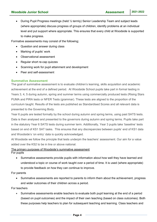During Pupil Progress meetings (held ½ termly) Senior Leadership Team and subject leads (where appropriate) discuss progress of groups of children, identify problems at an individual level and put support where appropriate. This ensures that every child at Woodside is supported to make progress.

Formative assessments may consist of the following;

- Question and answer during class
- Marking of pupils' work
- Observational assessment
- Regular short re-cap quizzes
- Scanning work for pupil attainment and development
- Peer and self-assessment

#### **Summative Assessment**

The goal of summative assessment is to evaluate children's learning, skills acquisition and academic achievement at the end of a defined period. At Woodside School pupils take part in formal testing in Years 3, 4, 5 during autumn, spring and summer terms using commercially produced tests (Rising Stars PUMA and PIRA tests or NFER Tests (grammar). These tests are aligned to the proportion of the curriculum taught. Results of the tests are published as Standardised Scores and all relevant data is presented to the Governing Body.

Year 6 pupils are tested formally by the school during autumn and spring terms, using past SATS tests. Data is then analysed and presented to the governors during autumn and spring terms. Pupils take part in the statutory Year 6 SATS tests during summer term. Additionally, Year 3 pupils take 'baseline' tests based on end of KS1 SAT tasks. This ensures that any discrepancies between pupils' end of KS1 data and Woodside's 'on entry' data is quickly acknowledged.

At Woodside we follow the principle that tests underpin the teachers' assessment. Our aim for a value added over the KS2 to be in line or above national.

#### The primary purposes of Woodside's summative assessment

For pupils

 Summative assessments provide pupils with information about how well they have learned and understood a topic or course of work taught over a period of time. It is used (where appropriate) to provide feedback on how they can continue to improve.

For parents

 Summative assessments are reported to parents to inform them about the achievement, progress and wider outcomes of their children across a period.

For teachers

 Summative assessments enable teachers to evaluate both pupil learning at the end of a period (based on pupil outcomes) and the impact of their own teaching (based on class outcomes). Both these purposes help teachers to plan for subsequent teaching and learning. Class teachers and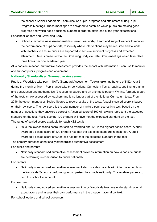the school's Senior Leadership Team discuss pupils' progress and attainment during Pupil Progress Meetings. These meetings are designed to establish which pupils are making good progress and which need additional support in order to attain end of the year expectations.

For school leaders and Governing Body

 School summative assessment enables Senior Leadership Team and subject leaders to monitor the performance of pupil cohorts, to identify where interventions may be required and to work with teachers to ensure pupils are supported to achieve sufficient progress and expected attainment. Data is presented to the Governing Body via Data Group meetings which take place three times per one academic year.

At Woodside in-school summative assessment provides the school with information it can use to monitor and support pupils' progress and attainment.

#### **Nationally Standardised Summative Assessment**

Pupils at Woodside take part in SATs (Standard Assessment Tasks), taken at the end of KS2 (year 6) during the month of May. Pupils undertake three National Curriculum Tests: reading; spelling, grammar and punctuation and mathematics (2 reasoning papers and an arithmetic paper). Writing, formerly a part of the test, is now assessed by teachers and is no longer part of the National Curriculum tests. From 2016 the government uses Scaled Scores to report results of the tests. A pupil's scaled score is based on their raw score. The raw score is the total number of marks a pupil scores in a test, based on the number of questions they answered correctly. A scaled score of 100 will always represent the expected standard on the test. Pupils scoring 100 or more will have met the expected standard on the test. The range of scaled scores available for each KS2 test is:

 80 is the lowest scaled score that can be awarded and 120 is the highest scaled score. A pupil awarded a scaled score of 100 or more has met the expected standard in each test. A pupil awarded a scaled score of 99 or less has not met the expected standard in the test.

The primary purposes of nationally standardised summative assessment

For pupils and parents

 Nationally standardised summative assessment provides information on how Woodside pupils are performing in comparison to pupils nationally.

For parents

 Nationally standardised summative assessment also provides parents with information on how the Woodside School is performing in comparison to schools nationally. This enables parents to hold this school to account.

For teachers:

 Nationally standardised summative assessment helps Woodside teachers understand national expectations and assess their own performance in the broader national context.

For school leaders and school governors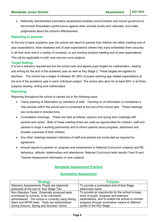Nationally standardised summative assessment enables school leaders and school governors to benchmark Woodside's performance against other schools locally and nationally, and make judgements about the school's effectiveness.

#### **Reporting to parents:**

At the end of each academic year the school will report to parents that children are either meeting end of year expectations, have mastered end of year expectations (where they have embedded them securely in all their work and in a variety of contexts), or are working towards meeting end of year expectations. This will be applicable to both core and non-core subjects.

#### **Target Setting:**

It is not a statutory requirement but the school sets and agrees pupil targets for mathematics, reading and writing for the end of the academic year as well as Key Stage 2. These targets are agreed by teachers. The school has a target of between 85 -90% of pupils reaching age related expectations at the end of the academic year in each individual subject. The school also aims for at least 80% in all three subjects reading, writing and mathematics.

#### **Reporting:**

Reporting throughout the school is carried out in the following ways:

- Yearly passing of information by members of staff. Handing on of information is considered a vital process within the school and is conducted at the end of the school year. These meetings are conducted in directed time.
- Consultation evenings. These are held as follows: autumn and spring term meetings with parents and carers. Both of these meeting times are used as opportunities for children, staff and parents to forge a working partnership and to inform parents about progress, attainment and broader outcomes of their children.
- Any other meetings between members of staff and parents are conducted as required by agreement.
- Annual reports to parents of: progress and achievement in National Curriculum subjects and RE, behaviour, attitude, relationships and attendance, National Curriculum tests results (Year 6) and Teacher Assessment information in core subjects.

#### **Woodside Assessment Practice**

#### **Summative Assessment**

| <b>Strategy</b>                                      | <b>Purpose</b>                                    |
|------------------------------------------------------|---------------------------------------------------|
| <b>Statutory Assessments: Pupils are statutorily</b> | To provide a summative end of Key Stage           |
| assessed at the end of Key Stage Two                 | attainment result.                                |
| Non-Statutory Tests: Externally produced tests,      | To provide an opportunity for the school to keep  |
| purchased by schools, to be voluntarily              | track of pupils' progress and teachers'           |
| administered. The school is currently using Rising   | expectations, and to enable the school to monitor |
| Stars and NFER tests. Tests are administered         | progress through summative means at different     |
| during Autumn, Spring and Summer Terms               | points in the Key Stage.                          |